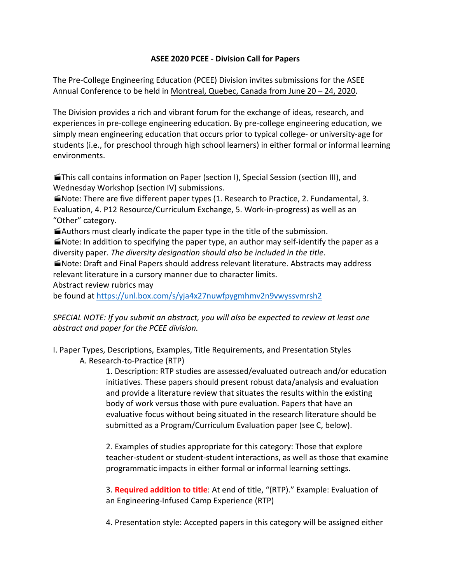## **ASEE 2020 PCEE - Division Call for Papers**

The Pre-College Engineering Education (PCEE) Division invites submissions for the ASEE Annual Conference to be held in Montreal, Quebec, Canada from June 20 – 24, 2020.

The Division provides a rich and vibrant forum for the exchange of ideas, research, and experiences in pre-college engineering education. By pre-college engineering education, we simply mean engineering education that occurs prior to typical college- or university-age for students (i.e., for preschool through high school learners) in either formal or informal learning environments.

**This call contains information on Paper (section I), Special Session (section III), and** Wednesday Workshop (section IV) submissions.

■ Note: There are five different paper types (1. Research to Practice, 2. Fundamental, 3. Evaluation, 4. P12 Resource/Curriculum Exchange, 5. Work-in-progress) as well as an "Other" category.

 $\blacktriangleright$  Authors must clearly indicate the paper type in the title of the submission.

 $\blacksquare$  Note: In addition to specifying the paper type, an author may self-identify the paper as a diversity paper. The diversity designation should also be included in the title.

**Mote:** Draft and Final Papers should address relevant literature. Abstracts may address relevant literature in a cursory manner due to character limits.

Abstract review rubrics may

be found at https://unl.box.com/s/yja4x27nuwfpygmhmv2n9vwyssvmrsh2

# *SPECIAL NOTE: If you submit an abstract, you will also be expected to review at least one abstract and paper for the PCEE division.*

I. Paper Types, Descriptions, Examples, Title Requirements, and Presentation Styles A. Research-to-Practice (RTP)

> 1. Description: RTP studies are assessed/evaluated outreach and/or education initiatives. These papers should present robust data/analysis and evaluation and provide a literature review that situates the results within the existing body of work versus those with pure evaluation. Papers that have an evaluative focus without being situated in the research literature should be submitted as a Program/Curriculum Evaluation paper (see C, below).

> 2. Examples of studies appropriate for this category: Those that explore teacher-student or student-student interactions, as well as those that examine programmatic impacts in either formal or informal learning settings.

3. **Required addition to title**: At end of title, "(RTP)." Example: Evaluation of an Engineering-Infused Camp Experience (RTP)

4. Presentation style: Accepted papers in this category will be assigned either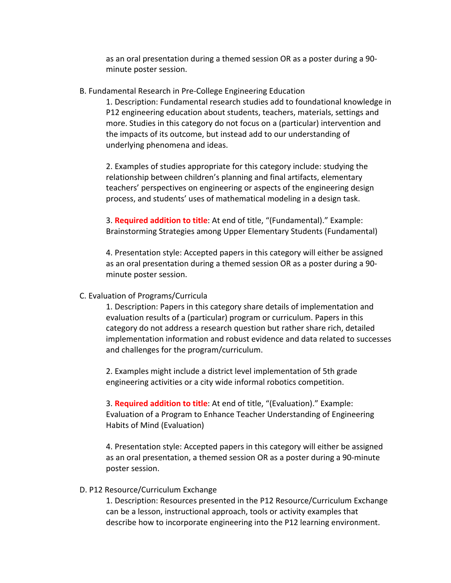as an oral presentation during a themed session OR as a poster during a 90minute poster session.

B. Fundamental Research in Pre-College Engineering Education

1. Description: Fundamental research studies add to foundational knowledge in P12 engineering education about students, teachers, materials, settings and more. Studies in this category do not focus on a (particular) intervention and the impacts of its outcome, but instead add to our understanding of underlying phenomena and ideas.

2. Examples of studies appropriate for this category include: studying the relationship between children's planning and final artifacts, elementary teachers' perspectives on engineering or aspects of the engineering design process, and students' uses of mathematical modeling in a design task.

3. Required addition to title: At end of title, "(Fundamental)." Example: Brainstorming Strategies among Upper Elementary Students (Fundamental)

4. Presentation style: Accepted papers in this category will either be assigned as an oral presentation during a themed session OR as a poster during a 90minute poster session.

## C. Evaluation of Programs/Curricula

1. Description: Papers in this category share details of implementation and evaluation results of a (particular) program or curriculum. Papers in this category do not address a research question but rather share rich, detailed implementation information and robust evidence and data related to successes and challenges for the program/curriculum.

2. Examples might include a district level implementation of 5th grade engineering activities or a city wide informal robotics competition.

3. **Required addition to title**: At end of title, "(Evaluation)." Example: Evaluation of a Program to Enhance Teacher Understanding of Engineering Habits of Mind (Evaluation)

4. Presentation style: Accepted papers in this category will either be assigned as an oral presentation, a themed session OR as a poster during a 90-minute poster session.

## D. P12 Resource/Curriculum Exchange

1. Description: Resources presented in the P12 Resource/Curriculum Exchange can be a lesson, instructional approach, tools or activity examples that describe how to incorporate engineering into the P12 learning environment.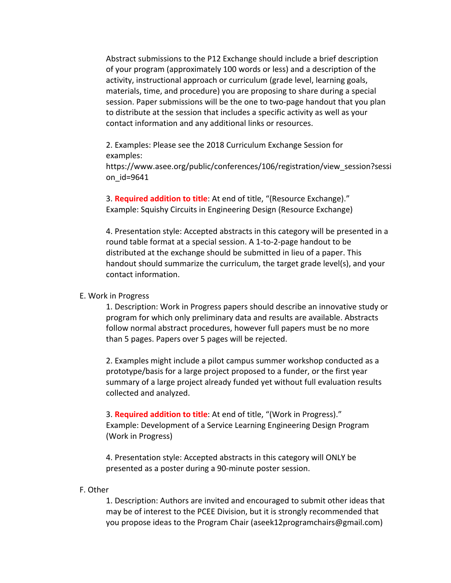Abstract submissions to the P12 Exchange should include a brief description of your program (approximately 100 words or less) and a description of the activity, instructional approach or curriculum (grade level, learning goals, materials, time, and procedure) you are proposing to share during a special session. Paper submissions will be the one to two-page handout that you plan to distribute at the session that includes a specific activity as well as your contact information and any additional links or resources.

2. Examples: Please see the 2018 Curriculum Exchange Session for examples: 

https://www.asee.org/public/conferences/106/registration/view\_session?sessi on\_id=9641

3. **Required addition to title**: At end of title, "(Resource Exchange)." Example: Squishy Circuits in Engineering Design (Resource Exchange)

4. Presentation style: Accepted abstracts in this category will be presented in a round table format at a special session. A 1-to-2-page handout to be distributed at the exchange should be submitted in lieu of a paper. This handout should summarize the curriculum, the target grade level(s), and your contact information.

#### E. Work in Progress

1. Description: Work in Progress papers should describe an innovative study or program for which only preliminary data and results are available. Abstracts follow normal abstract procedures, however full papers must be no more than 5 pages. Papers over 5 pages will be rejected.

2. Examples might include a pilot campus summer workshop conducted as a prototype/basis for a large project proposed to a funder, or the first year summary of a large project already funded yet without full evaluation results collected and analyzed.

3. **Required addition to title**: At end of title, "(Work in Progress)." Example: Development of a Service Learning Engineering Design Program (Work in Progress)

4. Presentation style: Accepted abstracts in this category will ONLY be presented as a poster during a 90-minute poster session.

#### F. Other

1. Description: Authors are invited and encouraged to submit other ideas that may be of interest to the PCEE Division, but it is strongly recommended that you propose ideas to the Program Chair (aseek12programchairs@gmail.com)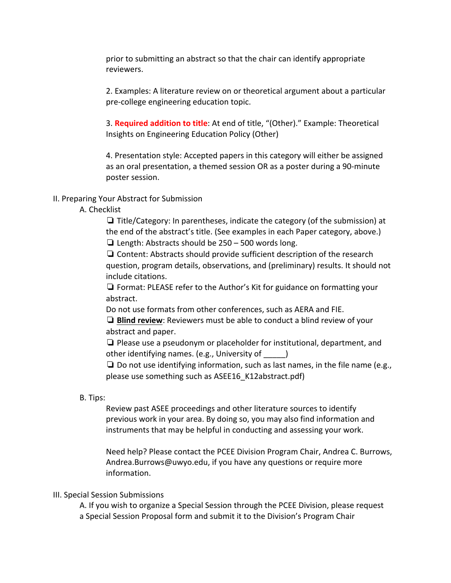prior to submitting an abstract so that the chair can identify appropriate reviewers.

2. Examples: A literature review on or theoretical argument about a particular pre-college engineering education topic.

3. **Required addition to title**: At end of title, "(Other)." Example: Theoretical Insights on Engineering Education Policy (Other)

4. Presentation style: Accepted papers in this category will either be assigned as an oral presentation, a themed session OR as a poster during a 90-minute poster session.

#### II. Preparing Your Abstract for Submission

#### A. Checklist

 $\Box$  Title/Category: In parentheses, indicate the category (of the submission) at the end of the abstract's title. (See examples in each Paper category, above.) □ Length: Abstracts should be  $250 - 500$  words long.

 $\Box$  Content: Abstracts should provide sufficient description of the research question, program details, observations, and (preliminary) results. It should not include citations.

 $\Box$  Format: PLEASE refer to the Author's Kit for guidance on formatting your abstract.

Do not use formats from other conferences, such as AERA and FIE.

**□ Blind review**: Reviewers must be able to conduct a blind review of your abstract and paper.

 $\Box$  Please use a pseudonym or placeholder for institutional, department, and other identifying names. (e.g., University of  $\rule{1em}{0.15mm}$ )

**□** Do not use identifying information, such as last names, in the file name (e.g., please use something such as ASEE16 K12abstract.pdf)

#### B. Tips:

Review past ASEE proceedings and other literature sources to identify previous work in your area. By doing so, you may also find information and instruments that may be helpful in conducting and assessing your work.

Need help? Please contact the PCEE Division Program Chair, Andrea C. Burrows, Andrea.Burrows@uwyo.edu, if you have any questions or require more information.

## III. Special Session Submissions

A. If you wish to organize a Special Session through the PCEE Division, please request a Special Session Proposal form and submit it to the Division's Program Chair